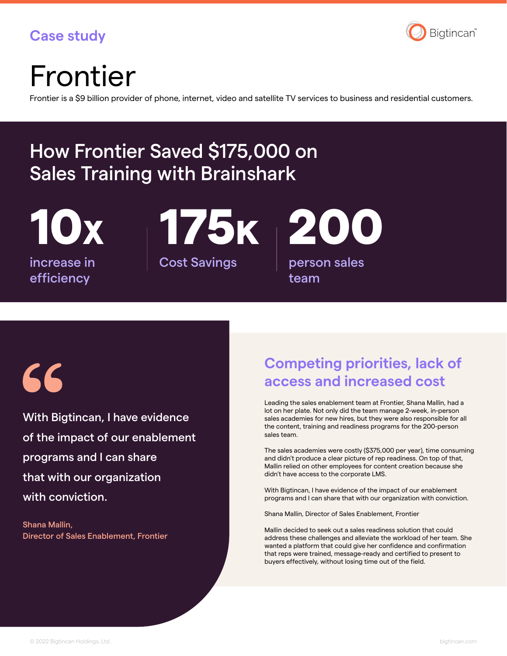### **Case study**



## Frontier

Frontier is a \$9 billion provider of phone, internet, video and satellite TV services to business and residential customers.

### How Frontier Saved \$175,000 on Sales Training with Brainshark

increase in efficiency

Cost Savings Person sales team 10X 175K 200

# 56

With Bigtincan, I have evidence of the impact of our enablement programs and I can share that with our organization with conviction.

Shana Mallin, Director of Sales Enablement, Frontier

### **Competing priorities, lack of access and increased cost**

Leading the sales enablement team at Frontier, Shana Mallin, had a lot on her plate. Not only did the team manage 2-week, in-person sales academies for new hires, but they were also responsible for all the content, training and readiness programs for the 200-person sales team.

The sales academies were costly (\$375,000 per year), time consuming and didn't produce a clear picture of rep readiness. On top of that, Mallin relied on other employees for content creation because she didn't have access to the corporate LMS.

With Bigtincan, I have evidence of the impact of our enablement programs and I can share that with our organization with conviction.

Shana Mallin, Director of Sales Enablement, Frontier

Mallin decided to seek out a sales readiness solution that could address these challenges and alleviate the workload of her team. She wanted a platform that could give her confidence and confirmation that reps were trained, message-ready and certified to present to buyers effectively, without losing time out of the field.